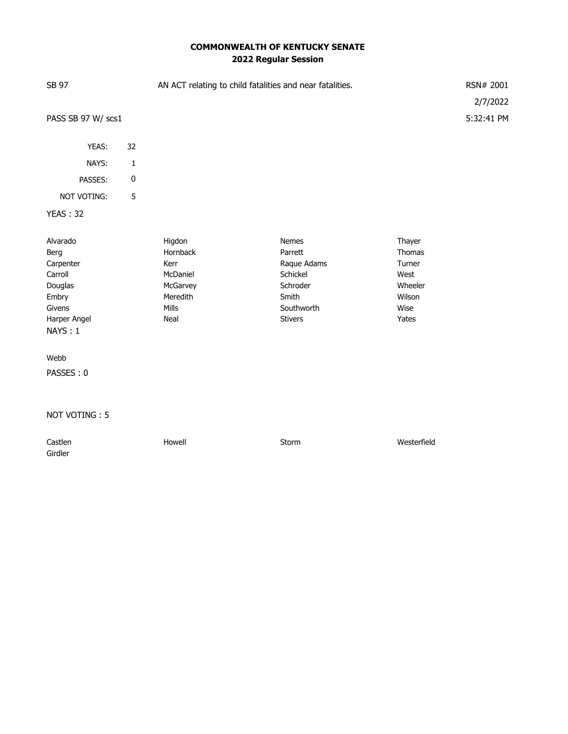## **COMMONWEALTH OF KENTUCKY SENATE 2022 Regular Session**

| SB 97                             |              | AN ACT relating to child fatalities and near fatalities. |                               |                           |                        |
|-----------------------------------|--------------|----------------------------------------------------------|-------------------------------|---------------------------|------------------------|
| PASS SB 97 W/ scs1                |              |                                                          |                               |                           | 2/7/2022<br>5:32:41 PM |
| YEAS:                             | 32           |                                                          |                               |                           |                        |
| NAYS:                             | $\mathbf{1}$ |                                                          |                               |                           |                        |
| PASSES:                           | 0            |                                                          |                               |                           |                        |
| <b>NOT VOTING:</b>                | 5            |                                                          |                               |                           |                        |
| <b>YEAS: 32</b>                   |              |                                                          |                               |                           |                        |
| Alvarado<br>Berg                  |              | Higdon<br>Hornback                                       | <b>Nemes</b><br>Parrett       | Thayer<br>Thomas          |                        |
| Carpenter                         |              | Kerr                                                     | Raque Adams                   | Turner                    |                        |
| Carroll<br>Douglas<br>Embry       |              | McDaniel<br>McGarvey<br>Meredith                         | Schickel<br>Schroder<br>Smith | West<br>Wheeler<br>Wilson |                        |
| Givens<br>Harper Angel<br>NAYS: 1 |              | Mills<br>Neal                                            | Southworth<br><b>Stivers</b>  | Wise<br>Yates             |                        |
| Webb                              |              |                                                          |                               |                           |                        |
| PASSES: 0                         |              |                                                          |                               |                           |                        |

NOT VOTING : 5

| Castlen | Howell | Storm | Westerfield |
|---------|--------|-------|-------------|
| Girdler |        |       |             |